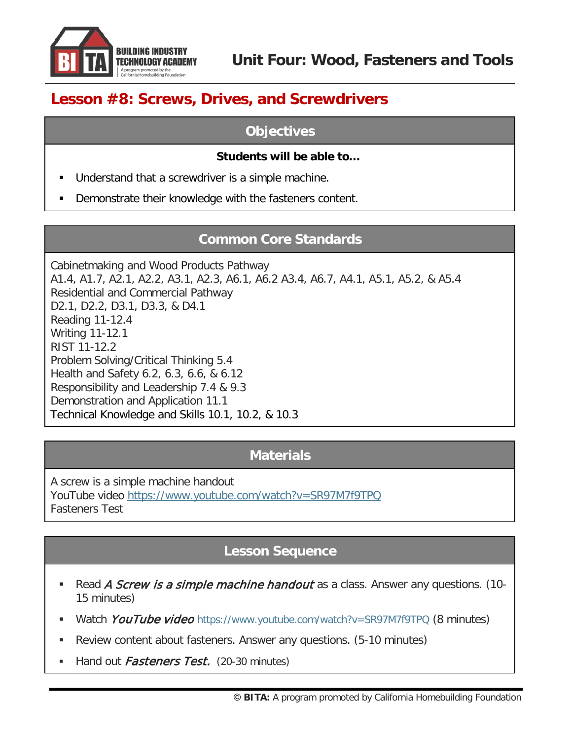

# **Lesson #8: Screws, Drives, and Screwdrivers**

### **Objectives**

#### **Students will be able to…**

- Understand that a screwdriver is a simple machine.
- Demonstrate their knowledge with the fasteners content.

## **Common Core Standards**

Cabinetmaking and Wood Products Pathway A1.4, A1.7, A2.1, A2.2, A3.1, A2.3, A6.1, A6.2 A3.4, A6.7, A4.1, A5.1, A5.2, & A5.4 Residential and Commercial Pathway D2.1, D2.2, D3.1, D3.3, & D4.1 Reading 11-12.4 Writing 11-12.1 RIST 11-12.2 Problem Solving/Critical Thinking 5.4 Health and Safety 6.2, 6.3, 6.6, & 6.12 Responsibility and Leadership 7.4 & 9.3 Demonstration and Application 11.1 Technical Knowledge and Skills 10.1, 10.2, & 10.3

#### **Materials**

A screw is a simple machine handout YouTube video <https://www.youtube.com/watch?v=SR97M7f9TPQ> Fasteners Test

## **Lesson Sequence**

- Read A Screw is a simple machine handout as a class. Answer any questions. (10-15 minutes)
- Watch YouTube video <https://www.youtube.com/watch?v=SR97M7f9TPQ> (8 minutes)
- Review content about fasteners. Answer any questions. (5-10 minutes)
- Hand out *Fasteners Test.* (20-30 minutes)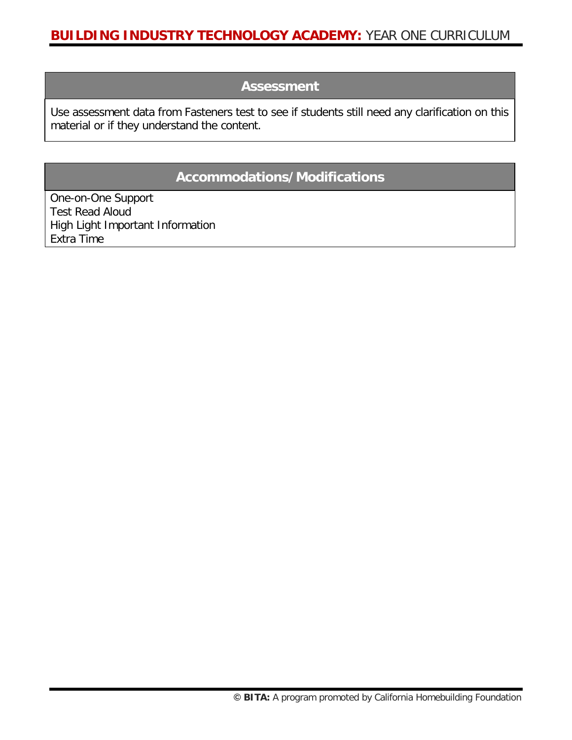#### **Assessment**

Use assessment data from Fasteners test to see if students still need any clarification on this material or if they understand the content.

#### **Accommodations/Modifications**

One-on-One Support Test Read Aloud High Light Important Information Extra Time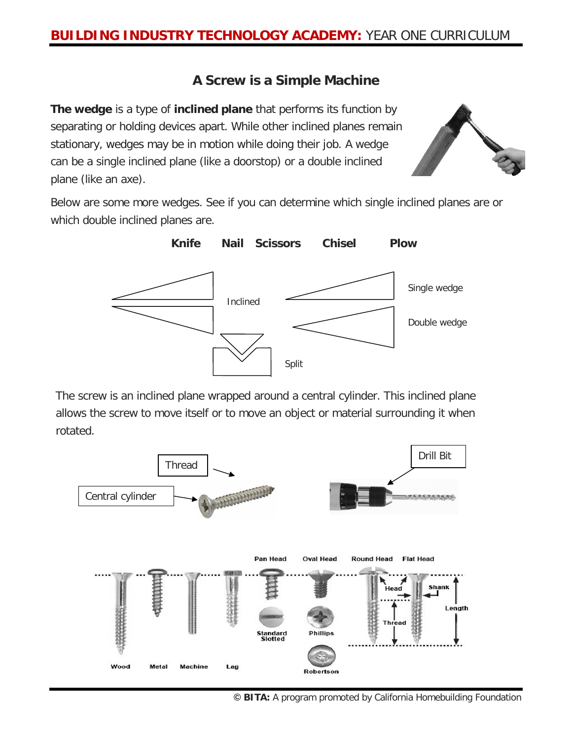## **A Screw is a Simple Machine**

**The wedge** is a type of **inclined plane** that performs its function by separating or holding devices apart. While other inclined planes remain stationary, wedges may be in motion while doing their job. A wedge can be a single inclined plane (like a doorstop) or a double inclined plane (like an axe).



Below are some more wedges. See if you can determine which single inclined planes are or which double inclined planes are.



The screw is an inclined plane wrapped around a central cylinder. This inclined plane allows the screw to move itself or to move an object or material surrounding it when rotated.



**© BITA:** A program promoted by California Homebuilding Foundation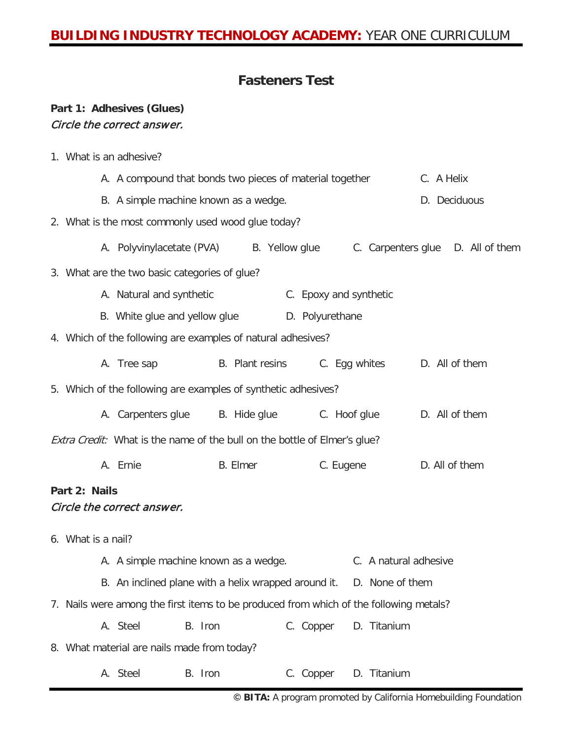## **Fasteners Test**

#### **Part 1: Adhesives (Glues)** Circle the correct answer.

1. What is an adhesive?

|                                                              |                                                                                        | A. A compound that bonds two pieces of material together                  |         |                 |                       |           |                        |                                   |  | C. A Helix     |  |  |
|--------------------------------------------------------------|----------------------------------------------------------------------------------------|---------------------------------------------------------------------------|---------|-----------------|-----------------------|-----------|------------------------|-----------------------------------|--|----------------|--|--|
|                                                              |                                                                                        | B. A simple machine known as a wedge.                                     |         |                 |                       |           |                        |                                   |  | D. Deciduous   |  |  |
|                                                              |                                                                                        | 2. What is the most commonly used wood glue today?                        |         |                 |                       |           |                        |                                   |  |                |  |  |
|                                                              |                                                                                        | A. Polyvinylacetate (PVA) B. Yellow glue                                  |         |                 |                       |           |                        | C. Carpenters glue D. All of them |  |                |  |  |
|                                                              |                                                                                        | 3. What are the two basic categories of glue?                             |         |                 |                       |           |                        |                                   |  |                |  |  |
|                                                              |                                                                                        | A. Natural and synthetic                                                  |         |                 |                       |           | C. Epoxy and synthetic |                                   |  |                |  |  |
|                                                              |                                                                                        | B. White glue and yellow glue D. Polyurethane                             |         |                 |                       |           |                        |                                   |  |                |  |  |
| 4. Which of the following are examples of natural adhesives? |                                                                                        |                                                                           |         |                 |                       |           |                        |                                   |  |                |  |  |
|                                                              |                                                                                        | A. Tree sap B. Plant resins C. Eqg whites D. All of them                  |         |                 |                       |           |                        |                                   |  |                |  |  |
|                                                              |                                                                                        | 5. Which of the following are examples of synthetic adhesives?            |         |                 |                       |           |                        |                                   |  |                |  |  |
|                                                              |                                                                                        | A. Carpenters glue B. Hide glue C. Hoof glue                              |         |                 |                       |           |                        |                                   |  | D. All of them |  |  |
|                                                              |                                                                                        | Extra Credit: What is the name of the bull on the bottle of Elmer's glue? |         |                 |                       |           |                        |                                   |  |                |  |  |
|                                                              |                                                                                        | A. Ernie                                                                  |         | <b>B.</b> Elmer |                       |           | C. Eugene              |                                   |  | D. All of them |  |  |
|                                                              | Part 2: Nails                                                                          |                                                                           |         |                 |                       |           |                        |                                   |  |                |  |  |
|                                                              |                                                                                        | Circle the correct answer.                                                |         |                 |                       |           |                        |                                   |  |                |  |  |
|                                                              | 6. What is a nail?                                                                     |                                                                           |         |                 |                       |           |                        |                                   |  |                |  |  |
| A. A simple machine known as a wedge.                        |                                                                                        |                                                                           |         |                 | C. A natural adhesive |           |                        |                                   |  |                |  |  |
|                                                              |                                                                                        | B. An inclined plane with a helix wrapped around it.                      |         |                 |                       |           |                        | D. None of them                   |  |                |  |  |
|                                                              | 7. Nails were among the first items to be produced from which of the following metals? |                                                                           |         |                 |                       |           |                        |                                   |  |                |  |  |
|                                                              |                                                                                        | A. Steel                                                                  | B. Iron |                 |                       | C. Copper |                        | D. Titanium                       |  |                |  |  |
|                                                              |                                                                                        | 8. What material are nails made from today?                               |         |                 |                       |           |                        |                                   |  |                |  |  |
|                                                              |                                                                                        | A. Steel                                                                  | B. Iron |                 |                       | C. Copper |                        | D. Titanium                       |  |                |  |  |
|                                                              |                                                                                        |                                                                           |         |                 |                       |           |                        |                                   |  |                |  |  |

**© BITA:** A program promoted by California Homebuilding Foundation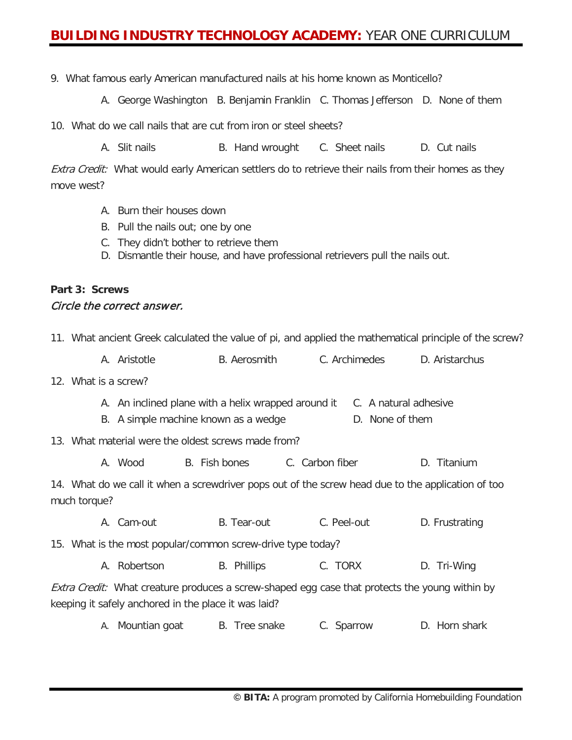### **BUILDING INDUSTRY TECHNOLOGY ACADEMY:** YEAR ONE CURRICULUM

9. What famous early American manufactured nails at his home known as Monticello?

A. George Washington B. Benjamin Franklin C. Thomas Jefferson D. None of them

10. What do we call nails that are cut from iron or steel sheets?

A. Slit nails **B.** Hand wrought C. Sheet nails **D.** Cut nails

Extra Credit: What would early American settlers do to retrieve their nails from their homes as they move west?

- A. Burn their houses down
- B. Pull the nails out; one by one
- C. They didn't bother to retrieve them
- D. Dismantle their house, and have professional retrievers pull the nails out.

#### **Part 3: Screws** Circle the correct answer.

|                                                                                                                    | 11. What ancient Greek calculated the value of pi, and applied the mathematical principle of the screw? |                                                      |               |                                                                                                       |                |  |  |  |
|--------------------------------------------------------------------------------------------------------------------|---------------------------------------------------------------------------------------------------------|------------------------------------------------------|---------------|-------------------------------------------------------------------------------------------------------|----------------|--|--|--|
|                                                                                                                    |                                                                                                         | A. Aristotle                                         |               | B. Aerosmith C. Archimedes D. Aristarchus                                                             |                |  |  |  |
| 12. What is a screw?                                                                                               |                                                                                                         |                                                      |               |                                                                                                       |                |  |  |  |
|                                                                                                                    |                                                                                                         | B. A simple machine known as a wedge                 |               | A. An inclined plane with a helix wrapped around it C. A natural adhesive<br>D. None of them          |                |  |  |  |
|                                                                                                                    |                                                                                                         | 13. What material were the oldest screws made from?  |               |                                                                                                       |                |  |  |  |
|                                                                                                                    |                                                                                                         | A. Wood                                              | B. Fish bones | C. Carbon fiber                                                                                       | D. Titanium    |  |  |  |
| 14. What do we call it when a screwdriver pops out of the screw head due to the application of too<br>much torque? |                                                                                                         |                                                      |               |                                                                                                       |                |  |  |  |
|                                                                                                                    |                                                                                                         | A. Cam-out                                           | B. Tear-out   | C. Peel-out                                                                                           | D. Frustrating |  |  |  |
| 15. What is the most popular/common screw-drive type today?                                                        |                                                                                                         |                                                      |               |                                                                                                       |                |  |  |  |
|                                                                                                                    |                                                                                                         | A. Robertson                                         | B. Phillips   | C. TORX                                                                                               | D. Tri-Wing    |  |  |  |
|                                                                                                                    |                                                                                                         | keeping it safely anchored in the place it was laid? |               | <i>Extra Credit:</i> What creature produces a screw-shaped egg case that protects the young within by |                |  |  |  |
|                                                                                                                    |                                                                                                         | A. Mountian goat                                     | B. Tree snake | C. Sparrow                                                                                            | D. Horn shark  |  |  |  |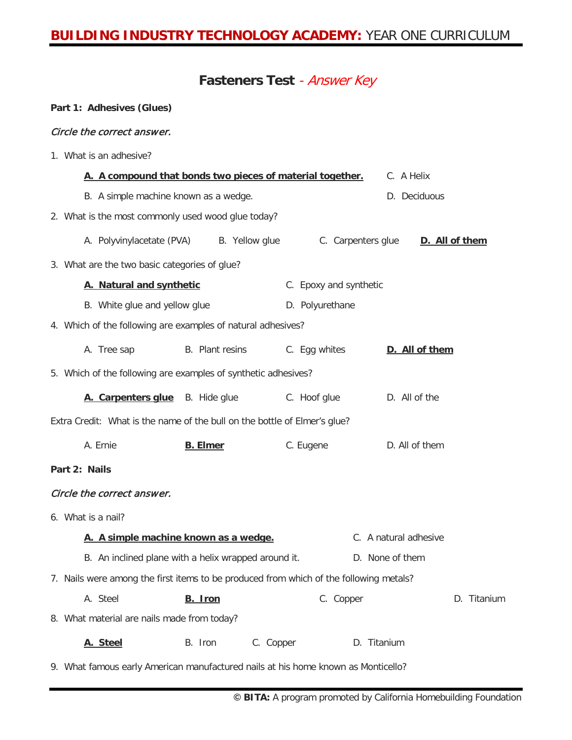## **BUILDING INDUSTRY TECHNOLOGY ACADEMY:** YEAR ONE CURRICULUM

#### **Fasteners Test** - Answer Key

#### **Part 1: Adhesives (Glues)**

#### Circle the correct answer.

1. What is an adhesive?

|                                                                                        | A. A compound that bonds two pieces of material together. |                        | C. A Helix            |
|----------------------------------------------------------------------------------------|-----------------------------------------------------------|------------------------|-----------------------|
| B. A simple machine known as a wedge.                                                  |                                                           |                        | D. Deciduous          |
| 2. What is the most commonly used wood glue today?                                     |                                                           |                        |                       |
| A. Polyvinylacetate (PVA)                                                              | B. Yellow glue                                            | C. Carpenters glue     | D. All of them        |
| 3. What are the two basic categories of glue?                                          |                                                           |                        |                       |
| A. Natural and synthetic                                                               |                                                           | C. Epoxy and synthetic |                       |
| B. White glue and yellow glue                                                          |                                                           | D. Polyurethane        |                       |
| 4. Which of the following are examples of natural adhesives?                           |                                                           |                        |                       |
| A. Tree sap                                                                            | B. Plant resins                                           | C. Egg whites          | D. All of them        |
| 5. Which of the following are examples of synthetic adhesives?                         |                                                           |                        |                       |
| A. Carpenters glue B. Hide glue                                                        |                                                           | C. Hoof glue           | D. All of the         |
| Extra Credit: What is the name of the bull on the bottle of Elmer's glue?              |                                                           |                        |                       |
| A. Ernie                                                                               | <b>B.</b> Elmer                                           | C. Eugene              | D. All of them        |
| Part 2: Nails                                                                          |                                                           |                        |                       |
| Circle the correct answer.                                                             |                                                           |                        |                       |
| 6. What is a nail?                                                                     |                                                           |                        |                       |
|                                                                                        | A. A simple machine known as a wedge.                     |                        | C. A natural adhesive |
|                                                                                        | B. An inclined plane with a helix wrapped around it.      |                        | D. None of them       |
| 7. Nails were among the first items to be produced from which of the following metals? |                                                           |                        |                       |
| A. Steel                                                                               | B. Iron                                                   | C. Copper              | D. Titanium           |
| 8. What material are nails made from today?                                            |                                                           |                        |                       |
| A. Steel                                                                               | B. Iron<br>C. Copper                                      |                        | D. Titanium           |
| 9. What famous early American manufactured nails at his home known as Monticello?      |                                                           |                        |                       |